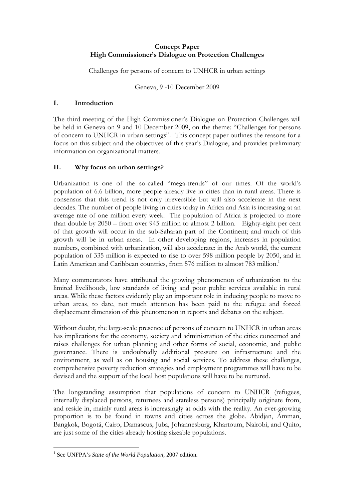## Concept Paper High Commissioner's Dialogue on Protection Challenges

#### Challenges for persons of concern to UNHCR in urban settings

#### Geneva, 9 -10 December 2009

#### I. Introduction

The third meeting of the High Commissioner's Dialogue on Protection Challenges will be held in Geneva on 9 and 10 December 2009, on the theme: "Challenges for persons of concern to UNHCR in urban settings". This concept paper outlines the reasons for a focus on this subject and the objectives of this year's Dialogue, and provides preliminary information on organizational matters.

# II. Why focus on urban settings?

Urbanization is one of the so-called "mega-trends" of our times. Of the world's population of 6.6 billion, more people already live in cities than in rural areas. There is consensus that this trend is not only irreversible but will also accelerate in the next decades. The number of people living in cities today in Africa and Asia is increasing at an average rate of one million every week. The population of Africa is projected to more than double by 2050 – from over 945 million to almost 2 billion. Eighty-eight per cent of that growth will occur in the sub-Saharan part of the Continent; and much of this growth will be in urban areas. In other developing regions, increases in population numbers, combined with urbanization, will also accelerate: in the Arab world, the current population of 335 million is expected to rise to over 598 million people by 2050, and in Latin American and Caribbean countries, from 576 million to almost 783 million.<sup>1</sup>

Many commentators have attributed the growing phenomenon of urbanization to the limited livelihoods, low standards of living and poor public services available in rural areas. While these factors evidently play an important role in inducing people to move to urban areas, to date, not much attention has been paid to the refugee and forced displacement dimension of this phenomenon in reports and debates on the subject.

Without doubt, the large-scale presence of persons of concern to UNHCR in urban areas has implications for the economy, society and administration of the cities concerned and raises challenges for urban planning and other forms of social, economic, and public governance. There is undoubtedly additional pressure on infrastructure and the environment, as well as on housing and social services. To address these challenges, comprehensive poverty reduction strategies and employment programmes will have to be devised and the support of the local host populations will have to be nurtured.

The longstanding assumption that populations of concern to UNHCR (refugees, internally displaced persons, returnees and stateless persons) principally originate from, and reside in, mainly rural areas is increasingly at odds with the reality. An ever-growing proportion is to be found in towns and cities across the globe. Abidjan, Amman, Bangkok, Bogotá, Cairo, Damascus, Juba, Johannesburg, Khartoum, Nairobi, and Quito, are just some of the cities already hosting sizeable populations.

 $\overline{a}$ <sup>1</sup> See UNFPA's *State of the World Population*, 2007 edition.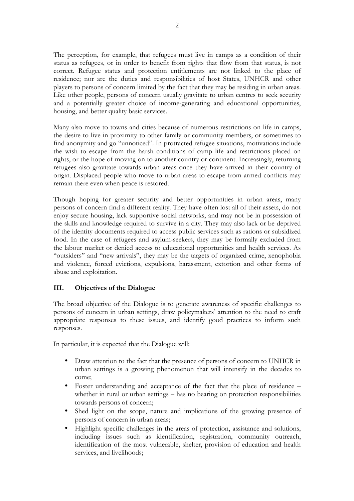The perception, for example, that refugees must live in camps as a condition of their status as refugees, or in order to benefit from rights that flow from that status, is not correct. Refugee status and protection entitlements are not linked to the place of residence; nor are the duties and responsibilities of host States, UNHCR and other players to persons of concern limited by the fact that they may be residing in urban areas. Like other people, persons of concern usually gravitate to urban centres to seek security and a potentially greater choice of income-generating and educational opportunities, housing, and better quality basic services.

Many also move to towns and cities because of numerous restrictions on life in camps, the desire to live in proximity to other family or community members, or sometimes to find anonymity and go "unnoticed". In protracted refugee situations, motivations include the wish to escape from the harsh conditions of camp life and restrictions placed on rights, or the hope of moving on to another country or continent. Increasingly, returning refugees also gravitate towards urban areas once they have arrived in their country of origin. Displaced people who move to urban areas to escape from armed conflicts may remain there even when peace is restored.

Though hoping for greater security and better opportunities in urban areas, many persons of concern find a different reality. They have often lost all of their assets, do not enjoy secure housing, lack supportive social networks, and may not be in possession of the skills and knowledge required to survive in a city. They may also lack or be deprived of the identity documents required to access public services such as rations or subsidized food. In the case of refugees and asylum-seekers, they may be formally excluded from the labour market or denied access to educational opportunities and health services. As "outsiders" and "new arrivals", they may be the targets of organized crime, xenophobia and violence, forced evictions, expulsions, harassment, extortion and other forms of abuse and exploitation.

# III. Objectives of the Dialogue

The broad objective of the Dialogue is to generate awareness of specific challenges to persons of concern in urban settings, draw policymakers' attention to the need to craft appropriate responses to these issues, and identify good practices to inform such responses.

In particular, it is expected that the Dialogue will:

- Draw attention to the fact that the presence of persons of concern to UNHCR in urban settings is a growing phenomenon that will intensify in the decades to come;
- Foster understanding and acceptance of the fact that the place of residence whether in rural or urban settings – has no bearing on protection responsibilities towards persons of concern;
- Shed light on the scope, nature and implications of the growing presence of persons of concern in urban areas;
- Highlight specific challenges in the areas of protection, assistance and solutions, including issues such as identification, registration, community outreach, identification of the most vulnerable, shelter, provision of education and health services, and livelihoods;